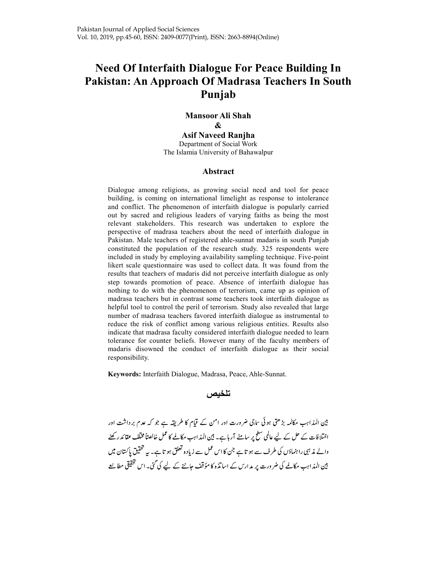# Need Of Interfaith Dialogue For Peace Building In Pakistan: An Approach Of Madrasa Teachers In South Punjab

Mansoor Ali Shah & Asif Naveed Ranjha Department of Social Work The Islamia University of Bahawalpur

## Abstract

Dialogue among religions, as growing social need and tool for peace building, is coming on international limelight as response to intolerance and conflict. The phenomenon of interfaith dialogue is popularly carried out by sacred and religious leaders of varying faiths as being the most relevant stakeholders. This research was undertaken to explore the perspective of madrasa teachers about the need of interfaith dialogue in Pakistan. Male teachers of registered ahle-sunnat madaris in south Punjab constituted the population of the research study. 325 respondents were included in study by employing availability sampling technique. Five-point likert scale questionnaire was used to collect data. It was found from the results that teachers of madaris did not perceive interfaith dialogue as only step towards promotion of peace. Absence of interfaith dialogue has nothing to do with the phenomenon of terrorism, came up as opinion of madrasa teachers but in contrast some teachers took interfaith dialogue as helpful tool to control the peril of terrorism. Study also revealed that large number of madrasa teachers favored interfaith dialogue as instrumental to reduce the risk of conflict among various religious entities. Results also indicate that madrasa faculty considered interfaith dialogue needed to learn tolerance for counter beliefs. However many of the faculty members of madaris disowned the conduct of interfaith dialogue as their social responsibility.

Keywords: Interfaith Dialogue, Madrasa, Peace, Ahle-Sunnat.

تلخيص

بین المذاہب مکالمہ بڑھتی ہوئی ساجی ضرورت اور امن کے قیام کا طریقہ ہے جو کہ عدم برداشت اور اختلافات کے حل کے لیے عالمی سطح پر سامنے آر ہاہے۔ بین المذاہب مکالمے کا عمل خالصتاً مختلف عقائد رکھنے والے مذہبی راہنماؤں کی طرف سے ہو تاہے جن کا اس عمل سے زیادہ تعلق ہو تاہے۔ بیہ تحقیق پاکستان میں بین المذاہب مکالمے کی ضرورت پر مدارس کے اساتذہ کا مؤقف حاننے کے لیے کی گئی۔ اس تحقیقی مطالعے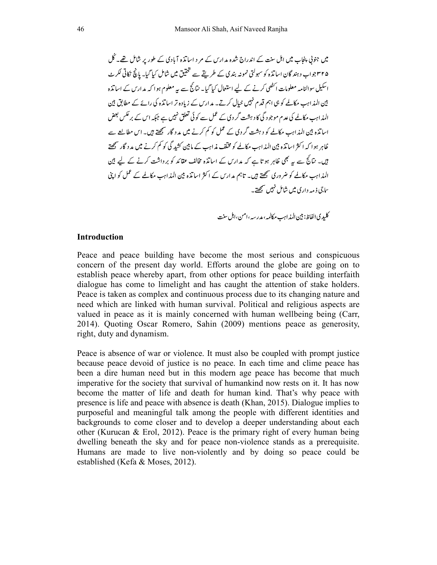میں جنوبی پنجاب میں اہل سنت کے اندراج شدہ مدارس کے مر د اساتذہ آبادی کے طور پر شامل تھے۔ کُل ۴۲۵جواب دہند گان اساتذہ کو سہولتی نمونہ بندی کے طریقے سے تحقیق میں شامل کیا گیا۔ مانچ نکاتی لکرٹ اسکیل سوالنامہ معلومات انٹھی کرنے کے لیے استعمال کیا گیا۔ نتائج سے پیہ معلوم ہوا کہ مدارس کے اساتذہ بین المذاہب مکالمے کو ہی اہم قدم نہیں خیال کرتے۔ مدارس کے زیادہ تر اساتذہ کی رائے کے مطابق بین المذاہب مکالمے کی عدم موجود گی کا دہشت گر دی کے عمل سے کوئی تعلق نہیں ہے جبکہ اس کے بر عکس بعض اسا تذہ بین المذاہب مکالمے کو دہشت گر دی کے عمل کو کم کرنے میں مد د گار سمجھتے ہیں۔ اس مطالعے سے ظاہر ہوا کہ اکثر اساتذہ بین المذاہب مکالمے کو مخلّف مذاہب کے مابین کشد گی کو کم کرنے میں مد د گار سمجھتے ہیں۔ نتائج سے یہ بھی ظاہر ہو تا ہے کہ مدارس کے اساتذہ مخالف عقائد کو برداشت کرنے کے لیے بین المذاہب مکالمے کو ضروری سمجھتے ہیں۔ تاہم مدارس کے اکثر اساتذہ بین المذاہب مکالمے کے عمل کو اپنی ساچي ذ مهه د ار ي ميں شامل نہيں سمجھتے۔

كليدي الفاظ: بين المذابهب مكالمه، مدرسه، امن، اہل سنت

## Introduction

Peace and peace building have become the most serious and conspicuous concern of the present day world. Efforts around the globe are going on to establish peace whereby apart, from other options for peace building interfaith dialogue has come to limelight and has caught the attention of stake holders. Peace is taken as complex and continuous process due to its changing nature and need which are linked with human survival. Political and religious aspects are valued in peace as it is mainly concerned with human wellbeing being (Carr, 2014). Quoting Oscar Romero, Sahin (2009) mentions peace as generosity, right, duty and dynamism.

Peace is absence of war or violence. It must also be coupled with prompt justice because peace devoid of justice is no peace. In each time and clime peace has been a dire human need but in this modern age peace has become that much imperative for the society that survival of humankind now rests on it. It has now become the matter of life and death for human kind. That's why peace with presence is life and peace with absence is death (Khan, 2015). Dialogue implies to purposeful and meaningful talk among the people with different identities and backgrounds to come closer and to develop a deeper understanding about each other (Kurucan & Erol, 2012). Peace is the primary right of every human being dwelling beneath the sky and for peace non-violence stands as a prerequisite. Humans are made to live non-violently and by doing so peace could be established (Kefa & Moses, 2012).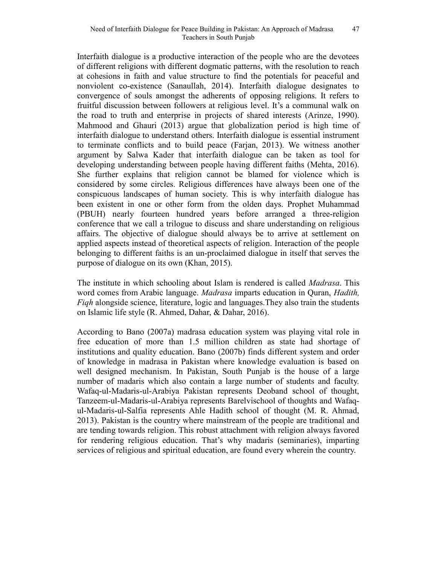Interfaith dialogue is a productive interaction of the people who are the devotees of different religions with different dogmatic patterns, with the resolution to reach at cohesions in faith and value structure to find the potentials for peaceful and nonviolent co-existence (Sanaullah, 2014). Interfaith dialogue designates to convergence of souls amongst the adherents of opposing religions. It refers to fruitful discussion between followers at religious level. It's a communal walk on the road to truth and enterprise in projects of shared interests (Arinze, 1990). Mahmood and Ghauri (2013) argue that globalization period is high time of interfaith dialogue to understand others. Interfaith dialogue is essential instrument to terminate conflicts and to build peace (Farjan, 2013). We witness another argument by Salwa Kader that interfaith dialogue can be taken as tool for developing understanding between people having different faiths (Mehta, 2016). She further explains that religion cannot be blamed for violence which is considered by some circles. Religious differences have always been one of the conspicuous landscapes of human society. This is why interfaith dialogue has been existent in one or other form from the olden days. Prophet Muhammad (PBUH) nearly fourteen hundred years before arranged a three-religion conference that we call a trilogue to discuss and share understanding on religious affairs. The objective of dialogue should always be to arrive at settlement on applied aspects instead of theoretical aspects of religion. Interaction of the people belonging to different faiths is an un-proclaimed dialogue in itself that serves the purpose of dialogue on its own (Khan, 2015).

The institute in which schooling about Islam is rendered is called *Madrasa*. This word comes from Arabic language. Madrasa imparts education in Quran, Hadith, Fiqh alongside science, literature, logic and languages.They also train the students on Islamic life style (R. Ahmed, Dahar, & Dahar, 2016).

According to Bano (2007a) madrasa education system was playing vital role in free education of more than 1.5 million children as state had shortage of institutions and quality education. Bano (2007b) finds different system and order of knowledge in madrasa in Pakistan where knowledge evaluation is based on well designed mechanism. In Pakistan, South Punjab is the house of a large number of madaris which also contain a large number of students and faculty. Wafaq-ul-Madaris-ul-Arabiya Pakistan represents Deoband school of thought, Tanzeem-ul-Madaris-ul-Arabiya represents Barelvischool of thoughts and Wafaqul-Madaris-ul-Salfia represents Ahle Hadith school of thought (M. R. Ahmad, 2013). Pakistan is the country where mainstream of the people are traditional and are tending towards religion. This robust attachment with religion always favored for rendering religious education. That's why madaris (seminaries), imparting services of religious and spiritual education, are found every wherein the country.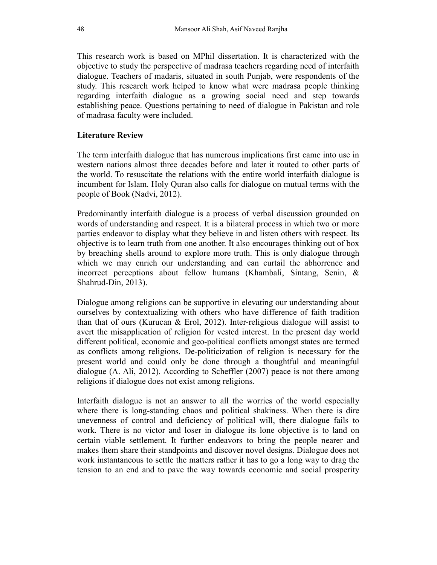This research work is based on MPhil dissertation. It is characterized with the objective to study the perspective of madrasa teachers regarding need of interfaith dialogue. Teachers of madaris, situated in south Punjab, were respondents of the study. This research work helped to know what were madrasa people thinking regarding interfaith dialogue as a growing social need and step towards establishing peace. Questions pertaining to need of dialogue in Pakistan and role of madrasa faculty were included.

# Literature Review

The term interfaith dialogue that has numerous implications first came into use in western nations almost three decades before and later it routed to other parts of the world. To resuscitate the relations with the entire world interfaith dialogue is incumbent for Islam. Holy Quran also calls for dialogue on mutual terms with the people of Book (Nadvi, 2012).

Predominantly interfaith dialogue is a process of verbal discussion grounded on words of understanding and respect. It is a bilateral process in which two or more parties endeavor to display what they believe in and listen others with respect. Its objective is to learn truth from one another. It also encourages thinking out of box by breaching shells around to explore more truth. This is only dialogue through which we may enrich our understanding and can curtail the abhorrence and incorrect perceptions about fellow humans (Khambali, Sintang, Senin, & Shahrud-Din, 2013).

Dialogue among religions can be supportive in elevating our understanding about ourselves by contextualizing with others who have difference of faith tradition than that of ours (Kurucan & Erol, 2012). Inter-religious dialogue will assist to avert the misapplication of religion for vested interest. In the present day world different political, economic and geo-political conflicts amongst states are termed as conflicts among religions. De-politicization of religion is necessary for the present world and could only be done through a thoughtful and meaningful dialogue (A. Ali, 2012). According to Scheffler (2007) peace is not there among religions if dialogue does not exist among religions.

Interfaith dialogue is not an answer to all the worries of the world especially where there is long-standing chaos and political shakiness. When there is dire unevenness of control and deficiency of political will, there dialogue fails to work. There is no victor and loser in dialogue its lone objective is to land on certain viable settlement. It further endeavors to bring the people nearer and makes them share their standpoints and discover novel designs. Dialogue does not work instantaneous to settle the matters rather it has to go a long way to drag the tension to an end and to pave the way towards economic and social prosperity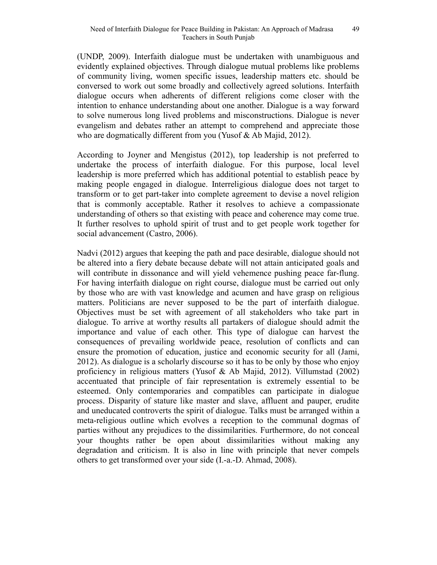(UNDP, 2009). Interfaith dialogue must be undertaken with unambiguous and evidently explained objectives. Through dialogue mutual problems like problems of community living, women specific issues, leadership matters etc. should be conversed to work out some broadly and collectively agreed solutions. Interfaith dialogue occurs when adherents of different religions come closer with the intention to enhance understanding about one another. Dialogue is a way forward to solve numerous long lived problems and misconstructions. Dialogue is never evangelism and debates rather an attempt to comprehend and appreciate those who are dogmatically different from you (Yusof & Ab Majid, 2012).

According to Joyner and Mengistus (2012), top leadership is not preferred to undertake the process of interfaith dialogue. For this purpose, local level leadership is more preferred which has additional potential to establish peace by making people engaged in dialogue. Interreligious dialogue does not target to transform or to get part-taker into complete agreement to devise a novel religion that is commonly acceptable. Rather it resolves to achieve a compassionate understanding of others so that existing with peace and coherence may come true. It further resolves to uphold spirit of trust and to get people work together for social advancement (Castro, 2006).

Nadvi (2012) argues that keeping the path and pace desirable, dialogue should not be altered into a fiery debate because debate will not attain anticipated goals and will contribute in dissonance and will yield vehemence pushing peace far-flung. For having interfaith dialogue on right course, dialogue must be carried out only by those who are with vast knowledge and acumen and have grasp on religious matters. Politicians are never supposed to be the part of interfaith dialogue. Objectives must be set with agreement of all stakeholders who take part in dialogue. To arrive at worthy results all partakers of dialogue should admit the importance and value of each other. This type of dialogue can harvest the consequences of prevailing worldwide peace, resolution of conflicts and can ensure the promotion of education, justice and economic security for all (Jami, 2012). As dialogue is a scholarly discourse so it has to be only by those who enjoy proficiency in religious matters (Yusof & Ab Majid, 2012). Villumstad (2002) accentuated that principle of fair representation is extremely essential to be esteemed. Only contemporaries and compatibles can participate in dialogue process. Disparity of stature like master and slave, affluent and pauper, erudite and uneducated controverts the spirit of dialogue. Talks must be arranged within a meta-religious outline which evolves a reception to the communal dogmas of parties without any prejudices to the dissimilarities. Furthermore, do not conceal your thoughts rather be open about dissimilarities without making any degradation and criticism. It is also in line with principle that never compels others to get transformed over your side (I.-a.-D. Ahmad, 2008).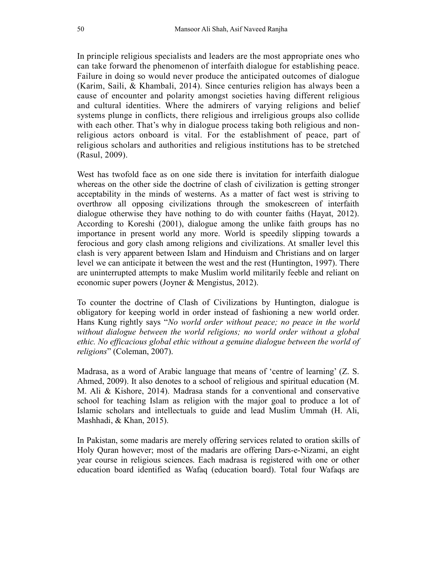In principle religious specialists and leaders are the most appropriate ones who can take forward the phenomenon of interfaith dialogue for establishing peace. Failure in doing so would never produce the anticipated outcomes of dialogue (Karim, Saili, & Khambali, 2014). Since centuries religion has always been a cause of encounter and polarity amongst societies having different religious and cultural identities. Where the admirers of varying religions and belief systems plunge in conflicts, there religious and irreligious groups also collide with each other. That's why in dialogue process taking both religious and nonreligious actors onboard is vital. For the establishment of peace, part of religious scholars and authorities and religious institutions has to be stretched (Rasul, 2009).

West has twofold face as on one side there is invitation for interfaith dialogue whereas on the other side the doctrine of clash of civilization is getting stronger acceptability in the minds of westerns. As a matter of fact west is striving to overthrow all opposing civilizations through the smokescreen of interfaith dialogue otherwise they have nothing to do with counter faiths (Hayat, 2012). According to Koreshi (2001), dialogue among the unlike faith groups has no importance in present world any more. World is speedily slipping towards a ferocious and gory clash among religions and civilizations. At smaller level this clash is very apparent between Islam and Hinduism and Christians and on larger level we can anticipate it between the west and the rest (Huntington, 1997). There are uninterrupted attempts to make Muslim world militarily feeble and reliant on economic super powers (Joyner & Mengistus, 2012).

To counter the doctrine of Clash of Civilizations by Huntington, dialogue is obligatory for keeping world in order instead of fashioning a new world order. Hans Kung rightly says "No world order without peace; no peace in the world without dialogue between the world religions; no world order without a global ethic. No efficacious global ethic without a genuine dialogue between the world of religions" (Coleman, 2007).

Madrasa, as a word of Arabic language that means of 'centre of learning' (Z. S. Ahmed, 2009). It also denotes to a school of religious and spiritual education (M. M. Ali & Kishore, 2014). Madrasa stands for a conventional and conservative school for teaching Islam as religion with the major goal to produce a lot of Islamic scholars and intellectuals to guide and lead Muslim Ummah (H. Ali, Mashhadi, & Khan, 2015).

In Pakistan, some madaris are merely offering services related to oration skills of Holy Quran however; most of the madaris are offering Dars-e-Nizami, an eight year course in religious sciences. Each madrasa is registered with one or other education board identified as Wafaq (education board). Total four Wafaqs are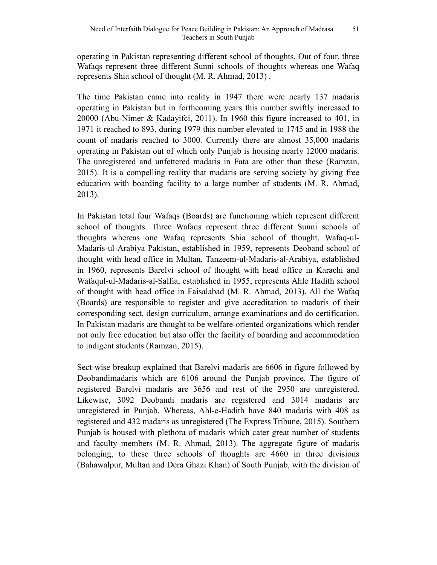operating in Pakistan representing different school of thoughts. Out of four, three Wafaqs represent three different Sunni schools of thoughts whereas one Wafaq represents Shia school of thought (M. R. Ahmad, 2013) .

The time Pakistan came into reality in 1947 there were nearly 137 madaris operating in Pakistan but in forthcoming years this number swiftly increased to 20000 (Abu-Nimer & Kadayifci, 2011). In 1960 this figure increased to 401, in 1971 it reached to 893, during 1979 this number elevated to 1745 and in 1988 the count of madaris reached to 3000. Currently there are almost 35,000 madaris operating in Pakistan out of which only Punjab is housing nearly 12000 madaris. The unregistered and unfettered madaris in Fata are other than these (Ramzan, 2015). It is a compelling reality that madaris are serving society by giving free education with boarding facility to a large number of students (M. R. Ahmad, 2013).

In Pakistan total four Wafaqs (Boards) are functioning which represent different school of thoughts. Three Wafaqs represent three different Sunni schools of thoughts whereas one Wafaq represents Shia school of thought. Wafaq-ul-Madaris-ul-Arabiya Pakistan, established in 1959, represents Deoband school of thought with head office in Multan, Tanzeem-ul-Madaris-al-Arabiya, established in 1960, represents Barelvi school of thought with head office in Karachi and Wafaqul-ul-Madaris-al-Salfia, established in 1955, represents Ahle Hadith school of thought with head office in Faisalabad (M. R. Ahmad, 2013). All the Wafaq (Boards) are responsible to register and give accreditation to madaris of their corresponding sect, design curriculum, arrange examinations and do certification. In Pakistan madaris are thought to be welfare-oriented organizations which render not only free education but also offer the facility of boarding and accommodation to indigent students (Ramzan, 2015).

Sect-wise breakup explained that Barelvi madaris are 6606 in figure followed by Deobandimadaris which are 6106 around the Punjab province. The figure of registered Barelvi madaris are 3656 and rest of the 2950 are unregistered. Likewise, 3092 Deobandi madaris are registered and 3014 madaris are unregistered in Punjab. Whereas, Ahl-e-Hadith have 840 madaris with 408 as registered and 432 madaris as unregistered (The Express Tribune, 2015). Southern Punjab is housed with plethora of madaris which cater great number of students and faculty members (M. R. Ahmad, 2013). The aggregate figure of madaris belonging, to these three schools of thoughts are 4660 in three divisions (Bahawalpur, Multan and Dera Ghazi Khan) of South Punjab, with the division of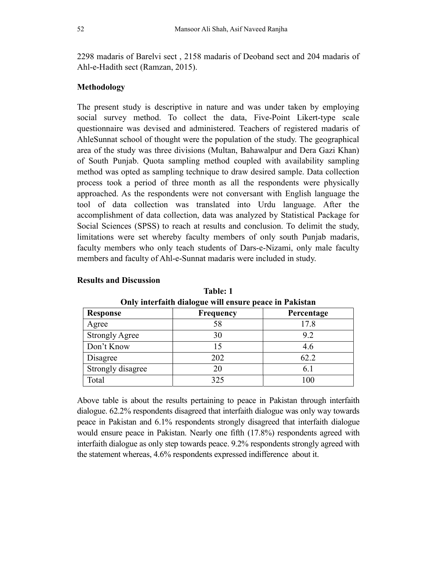2298 madaris of Barelvi sect , 2158 madaris of Deoband sect and 204 madaris of Ahl-e-Hadith sect (Ramzan, 2015).

## Methodology

The present study is descriptive in nature and was under taken by employing social survey method. To collect the data, Five-Point Likert-type scale questionnaire was devised and administered. Teachers of registered madaris of AhleSunnat school of thought were the population of the study. The geographical area of the study was three divisions (Multan, Bahawalpur and Dera Gazi Khan) of South Punjab. Quota sampling method coupled with availability sampling method was opted as sampling technique to draw desired sample. Data collection process took a period of three month as all the respondents were physically approached. As the respondents were not conversant with English language the tool of data collection was translated into Urdu language. After the accomplishment of data collection, data was analyzed by Statistical Package for Social Sciences (SPSS) to reach at results and conclusion. To delimit the study, limitations were set whereby faculty members of only south Punjab madaris, faculty members who only teach students of Dars-e-Nizami, only male faculty members and faculty of Ahl-e-Sunnat madaris were included in study.

| <b>Response</b>       | Frequency | Percentage |
|-----------------------|-----------|------------|
| Agree                 |           | 17.8       |
| <b>Strongly Agree</b> | 30        | 9.2        |
| Don't Know            |           | 4.6        |
| Disagree              | 202       | 62.2       |
| Strongly disagree     |           | 6.1        |
| Total                 | 325       | 100        |

Results and Discussion

Table: 1 Only interfaith dialogue will ensure peace in Pakistan

Above table is about the results pertaining to peace in Pakistan through interfaith dialogue. 62.2% respondents disagreed that interfaith dialogue was only way towards peace in Pakistan and 6.1% respondents strongly disagreed that interfaith dialogue would ensure peace in Pakistan. Nearly one fifth (17.8%) respondents agreed with interfaith dialogue as only step towards peace. 9.2% respondents strongly agreed with the statement whereas, 4.6% respondents expressed indifference about it.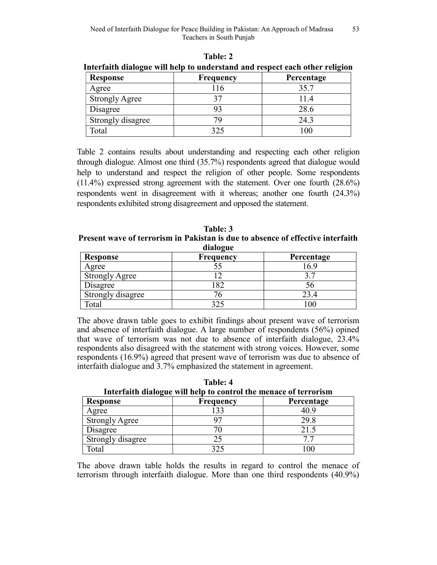| Response              | <b>Frequency</b> | Percentage |
|-----------------------|------------------|------------|
| Agree                 | 16               | 35.7       |
| <b>Strongly Agree</b> |                  | l I.4      |
| Disagree              |                  | 28.6       |
| Strongly disagree     |                  | 24.3       |
| Total                 | 325              | 100        |

Table: 2 Interfaith dialogue will help to understand and respect each other religion

Table 2 contains results about understanding and respecting each other religion through dialogue. Almost one third (35.7%) respondents agreed that dialogue would help to understand and respect the religion of other people. Some respondents (11.4%) expressed strong agreement with the statement. Over one fourth (28.6%) respondents went in disagreement with it whereas; another one fourth (24.3%) respondents exhibited strong disagreement and opposed the statement.

Table: 3 Present wave of terrorism in Pakistan is due to absence of effective interfaith dialogue

| $\mathbf{u}$ $\mathbf{u}$ |                  |            |
|---------------------------|------------------|------------|
| Response                  | <b>Frequency</b> | Percentage |
| Agree                     |                  | .6.9       |
| <b>Strongly Agree</b>     |                  |            |
| Disagree                  |                  | эс         |
| Strongly disagree         |                  | 13 4       |
| Total                     |                  | 00         |

The above drawn table goes to exhibit findings about present wave of terrorism and absence of interfaith dialogue. A large number of respondents (56%) opined that wave of terrorism was not due to absence of interfaith dialogue, 23.4% respondents also disagreed with the statement with strong voices. However, some respondents (16.9%) agreed that present wave of terrorism was due to absence of interfaith dialogue and 3.7% emphasized the statement in agreement.

| Interfaith dialogue will help to control the menace of terrorism |                  |            |
|------------------------------------------------------------------|------------------|------------|
| Response                                                         | <b>Frequency</b> | Percentage |
| Agree                                                            | 133              | 40.9       |
| <b>Strongly Agree</b>                                            |                  | 29.8       |
| Disagree                                                         |                  | 21.5       |
| Strongly disagree                                                | 25               | 77         |
| Total                                                            | 325              | 100        |

Table: 4 Interface will help to control the menace of terrorism  $\mathbf{r}$  to control the menace of terrorism of terms of terms of terms of terms of terms of terms of terms of terms of terms of terms of terms of terms of terms of te

The above drawn table holds the results in regard to control the menace of terrorism through interfaith dialogue. More than one third respondents (40.9%)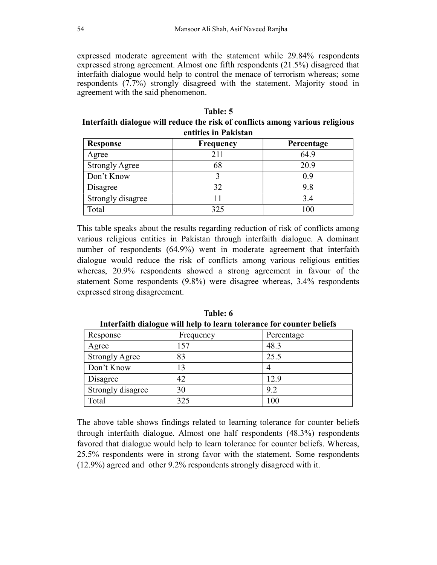expressed moderate agreement with the statement while 29.84% respondents expressed strong agreement. Almost one fifth respondents (21.5%) disagreed that interfaith dialogue would help to control the menace of terrorism whereas; some respondents (7.7%) strongly disagreed with the statement. Majority stood in agreement with the said phenomenon.

| Table: 5                                                                      |
|-------------------------------------------------------------------------------|
| Interfaith dialogue will reduce the risk of conflicts among various religious |
| entities in Pakistan                                                          |

| <b>Response</b>       | <b>Frequency</b> | Percentage |
|-----------------------|------------------|------------|
| Agree                 | 211              | 64.9       |
| <b>Strongly Agree</b> | 68               | 20.9       |
| Don't Know            |                  | 0.9        |
| Disagree              | 32               | 9.8        |
| Strongly disagree     |                  | 3.4        |
| Total                 | 325              | 100        |

This table speaks about the results regarding reduction of risk of conflicts among various religious entities in Pakistan through interfaith dialogue. A dominant number of respondents (64.9%) went in moderate agreement that interfaith dialogue would reduce the risk of conflicts among various religious entities whereas, 20.9% respondents showed a strong agreement in favour of the statement Some respondents (9.8%) were disagree whereas, 3.4% respondents expressed strong disagreement.

| -                     |           |            |
|-----------------------|-----------|------------|
| Response              | Frequency | Percentage |
| Agree                 | 157       | 48.3       |
| <b>Strongly Agree</b> | 83        | 25.5       |
| Don't Know            | 13        | 4          |
| Disagree              | 42        | 12.9       |
| Strongly disagree     | 30        | 9.2        |
| Total                 | 325       | 100        |
|                       |           |            |

Table: 6 Interfaith dialogue will help to learn tolerance for counter beliefs

The above table shows findings related to learning tolerance for counter beliefs through interfaith dialogue. Almost one half respondents (48.3%) respondents favored that dialogue would help to learn tolerance for counter beliefs. Whereas, 25.5% respondents were in strong favor with the statement. Some respondents (12.9%) agreed and other 9.2% respondents strongly disagreed with it.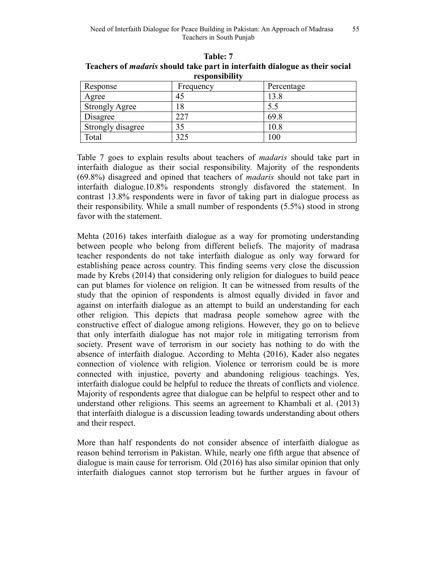| L CODUNDIDINIU        |           |            |
|-----------------------|-----------|------------|
| Response              | Frequency | Percentage |
| Agree                 | 45        | 13.8       |
| <b>Strongly Agree</b> |           | 5.5        |
| Disagree              | 227       | 69.8       |
| Strongly disagree     | 35        | 10.8       |
| Total                 | 325       | 100        |

Table: 7 Teachers of madaris should take part in interfaith dialogue as their social responsibility

Table 7 goes to explain results about teachers of *madaris* should take part in interfaith dialogue as their social responsibility. Majority of the respondents (69.8%) disagreed and opined that teachers of madaris should not take part in interfaith dialogue.10.8% respondents strongly disfavored the statement. In contrast 13.8% respondents were in favor of taking part in dialogue process as their responsibility. While a small number of respondents (5.5%) stood in strong favor with the statement.

Mehta (2016) takes interfaith dialogue as a way for promoting understanding between people who belong from different beliefs. The majority of madrasa teacher respondents do not take interfaith dialogue as only way forward for establishing peace across country. This finding seems very close the discussion made by Krebs (2014) that considering only religion for dialogues to build peace can put blames for violence on religion. It can be witnessed from results of the study that the opinion of respondents is almost equally divided in favor and against on interfaith dialogue as an attempt to build an understanding for each other religion. This depicts that madrasa people somehow agree with the constructive effect of dialogue among religions. However, they go on to believe that only interfaith dialogue has not major role in mitigating terrorism from society. Present wave of terrorism in our society has nothing to do with the absence of interfaith dialogue. According to Mehta (2016), Kader also negates connection of violence with religion. Violence or terrorism could be is more connected with injustice, poverty and abandoning religious teachings. Yes, interfaith dialogue could be helpful to reduce the threats of conflicts and violence. Majority of respondents agree that dialogue can be helpful to respect other and to understand other religions. This seems an agreement to Khambali et al. (2013) that interfaith dialogue is a discussion leading towards understanding about others and their respect.

More than half respondents do not consider absence of interfaith dialogue as reason behind terrorism in Pakistan. While, nearly one fifth argue that absence of dialogue is main cause for terrorism. Old (2016) has also similar opinion that only interfaith dialogues cannot stop terrorism but he further argues in favour of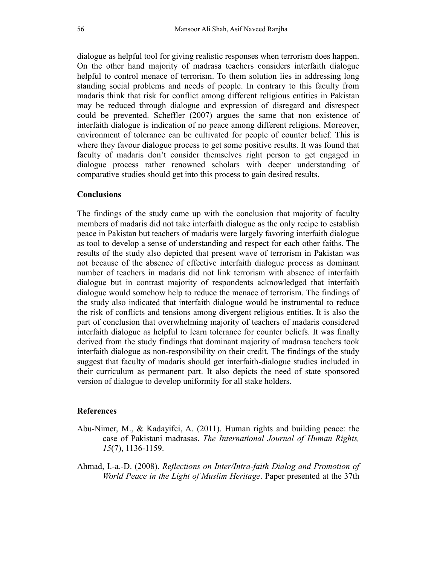dialogue as helpful tool for giving realistic responses when terrorism does happen. On the other hand majority of madrasa teachers considers interfaith dialogue helpful to control menace of terrorism. To them solution lies in addressing long standing social problems and needs of people. In contrary to this faculty from madaris think that risk for conflict among different religious entities in Pakistan may be reduced through dialogue and expression of disregard and disrespect could be prevented. Scheffler (2007) argues the same that non existence of interfaith dialogue is indication of no peace among different religions. Moreover, environment of tolerance can be cultivated for people of counter belief. This is where they favour dialogue process to get some positive results. It was found that faculty of madaris don't consider themselves right person to get engaged in dialogue process rather renowned scholars with deeper understanding of comparative studies should get into this process to gain desired results.

## **Conclusions**

The findings of the study came up with the conclusion that majority of faculty members of madaris did not take interfaith dialogue as the only recipe to establish peace in Pakistan but teachers of madaris were largely favoring interfaith dialogue as tool to develop a sense of understanding and respect for each other faiths. The results of the study also depicted that present wave of terrorism in Pakistan was not because of the absence of effective interfaith dialogue process as dominant number of teachers in madaris did not link terrorism with absence of interfaith dialogue but in contrast majority of respondents acknowledged that interfaith dialogue would somehow help to reduce the menace of terrorism. The findings of the study also indicated that interfaith dialogue would be instrumental to reduce the risk of conflicts and tensions among divergent religious entities. It is also the part of conclusion that overwhelming majority of teachers of madaris considered interfaith dialogue as helpful to learn tolerance for counter beliefs. It was finally derived from the study findings that dominant majority of madrasa teachers took interfaith dialogue as non-responsibility on their credit. The findings of the study suggest that faculty of madaris should get interfaith-dialogue studies included in their curriculum as permanent part. It also depicts the need of state sponsored version of dialogue to develop uniformity for all stake holders.

#### References

- Abu-Nimer, M., & Kadayifci, A. (2011). Human rights and building peace: the case of Pakistani madrasas. The International Journal of Human Rights, 15(7), 1136-1159.
- Ahmad, I.-a.-D. (2008). Reflections on Inter/Intra-faith Dialog and Promotion of World Peace in the Light of Muslim Heritage. Paper presented at the 37th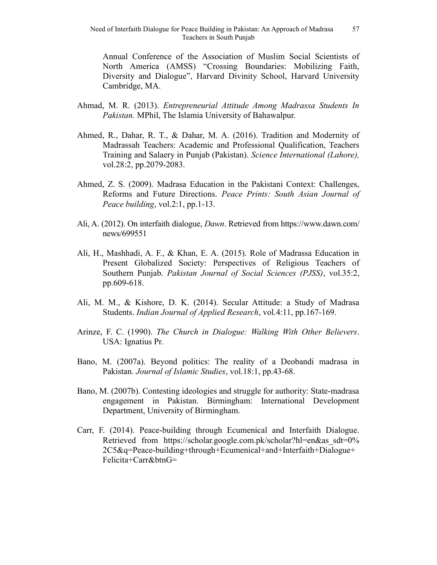Annual Conference of the Association of Muslim Social Scientists of North America (AMSS) "Crossing Boundaries: Mobilizing Faith, Diversity and Dialogue", Harvard Divinity School, Harvard University Cambridge, MA.

- Ahmad, M. R. (2013). Entrepreneurial Attitude Among Madrassa Students In Pakistan. MPhil, The Islamia University of Bahawalpur.
- Ahmed, R., Dahar, R. T., & Dahar, M. A. (2016). Tradition and Modernity of Madrassah Teachers: Academic and Professional Qualification, Teachers Training and Salaery in Punjab (Pakistan). Science International (Lahore), vol.28:2, pp.2079-2083.
- Ahmed, Z. S. (2009). Madrasa Education in the Pakistani Context: Challenges, Reforms and Future Directions. Peace Prints: South Asian Journal of Peace building, vol.2:1, pp.1-13.
- Ali, A. (2012). On interfaith dialogue, Dawn. Retrieved from https://www.dawn.com/ news/699551
- Ali, H., Mashhadi, A. F., & Khan, E. A. (2015). Role of Madrassa Education in Present Globalized Society: Perspectives of Religious Teachers of Southern Punjab. Pakistan Journal of Social Sciences (PJSS), vol.35:2, pp.609-618.
- Ali, M. M., & Kishore, D. K. (2014). Secular Attitude: a Study of Madrasa Students. Indian Journal of Applied Research, vol.4:11, pp.167-169.
- Arinze, F. C. (1990). The Church in Dialogue: Walking With Other Believers. USA: Ignatius Pr.
- Bano, M. (2007a). Beyond politics: The reality of a Deobandi madrasa in Pakistan. Journal of Islamic Studies, vol.18:1, pp.43-68.
- Bano, M. (2007b). Contesting ideologies and struggle for authority: State-madrasa engagement in Pakistan. Birmingham: International Development Department, University of Birmingham.
- Carr, F. (2014). Peace-building through Ecumenical and Interfaith Dialogue. Retrieved from https://scholar.google.com.pk/scholar?hl=en&as\_sdt=0% 2C5&q=Peace-building+through+Ecumenical+and+Interfaith+Dialogue+ Felicita+Carr&btnG=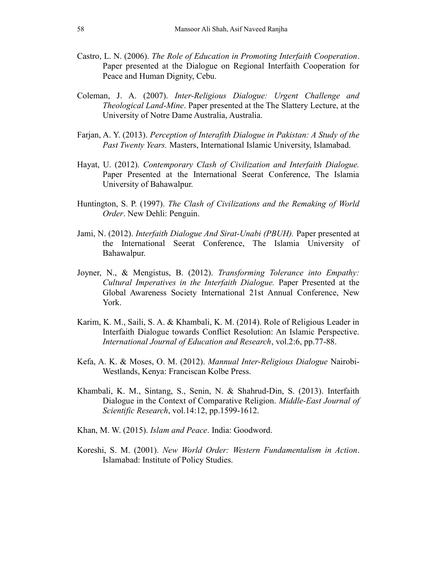- Castro, L. N. (2006). The Role of Education in Promoting Interfaith Cooperation. Paper presented at the Dialogue on Regional Interfaith Cooperation for Peace and Human Dignity, Cebu.
- Coleman, J. A. (2007). Inter-Religious Dialogue: Urgent Challenge and Theological Land-Mine. Paper presented at the The Slattery Lecture, at the University of Notre Dame Australia, Australia.
- Farjan, A. Y. (2013). Perception of Interafith Dialogue in Pakistan: A Study of the Past Twenty Years. Masters, International Islamic University, Islamabad.
- Hayat, U. (2012). Contemporary Clash of Civilization and Interfaith Dialogue. Paper Presented at the International Seerat Conference, The Islamia University of Bahawalpur.
- Huntington, S. P. (1997). The Clash of Civilizations and the Remaking of World Order. New Dehli: Penguin.
- Jami, N. (2012). *Interfaith Dialogue And Sirat-Unabi (PBUH)*. Paper presented at the International Seerat Conference, The Islamia University of Bahawalpur.
- Joyner, N., & Mengistus, B. (2012). Transforming Tolerance into Empathy: Cultural Imperatives in the Interfaith Dialogue. Paper Presented at the Global Awareness Society International 21st Annual Conference, New York.
- Karim, K. M., Saili, S. A. & Khambali, K. M. (2014). Role of Religious Leader in Interfaith Dialogue towards Conflict Resolution: An Islamic Perspective. International Journal of Education and Research, vol.2:6, pp.77-88.
- Kefa, A. K. & Moses, O. M. (2012). Mannual Inter-Religious Dialogue Nairobi-Westlands, Kenya: Franciscan Kolbe Press.
- Khambali, K. M., Sintang, S., Senin, N. & Shahrud-Din, S. (2013). Interfaith Dialogue in the Context of Comparative Religion. Middle-East Journal of Scientific Research, vol.14:12, pp.1599-1612.
- Khan, M. W. (2015). Islam and Peace. India: Goodword.
- Koreshi, S. M. (2001). New World Order: Western Fundamentalism in Action. Islamabad: Institute of Policy Studies.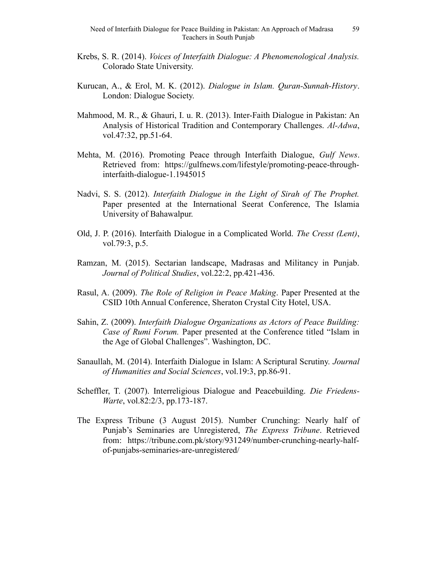- Krebs, S. R. (2014). Voices of Interfaith Dialogue: A Phenomenological Analysis. Colorado State University.
- Kurucan, A., & Erol, M. K. (2012). Dialogue in Islam. Quran-Sunnah-History. London: Dialogue Society.
- Mahmood, M. R., & Ghauri, I. u. R. (2013). Inter-Faith Dialogue in Pakistan: An Analysis of Historical Tradition and Contemporary Challenges. Al-Adwa, vol.47:32, pp.51-64.
- Mehta, M. (2016). Promoting Peace through Interfaith Dialogue, Gulf News. Retrieved from: https://gulfnews.com/lifestyle/promoting-peace-throughinterfaith-dialogue-1.1945015
- Nadvi, S. S. (2012). Interfaith Dialogue in the Light of Sirah of The Prophet. Paper presented at the International Seerat Conference, The Islamia University of Bahawalpur.
- Old, J. P. (2016). Interfaith Dialogue in a Complicated World. The Cresst (Lent), vol.79:3, p.5.
- Ramzan, M. (2015). Sectarian landscape, Madrasas and Militancy in Punjab. Journal of Political Studies, vol.22:2, pp.421-436.
- Rasul, A. (2009). The Role of Religion in Peace Making. Paper Presented at the CSID 10th Annual Conference, Sheraton Crystal City Hotel, USA.
- Sahin, Z. (2009). Interfaith Dialogue Organizations as Actors of Peace Building: Case of Rumi Forum. Paper presented at the Conference titled "Islam in the Age of Global Challenges". Washington, DC.
- Sanaullah, M. (2014). Interfaith Dialogue in Islam: A Scriptural Scrutiny. Journal of Humanities and Social Sciences, vol.19:3, pp.86-91.
- Scheffler, T. (2007). Interreligious Dialogue and Peacebuilding. Die Friedens-Warte, vol.82:2/3, pp.173-187.
- The Express Tribune (3 August 2015). Number Crunching: Nearly half of Punjab's Seminaries are Unregistered, The Express Tribune. Retrieved from: https://tribune.com.pk/story/931249/number-crunching-nearly-halfof-punjabs-seminaries-are-unregistered/